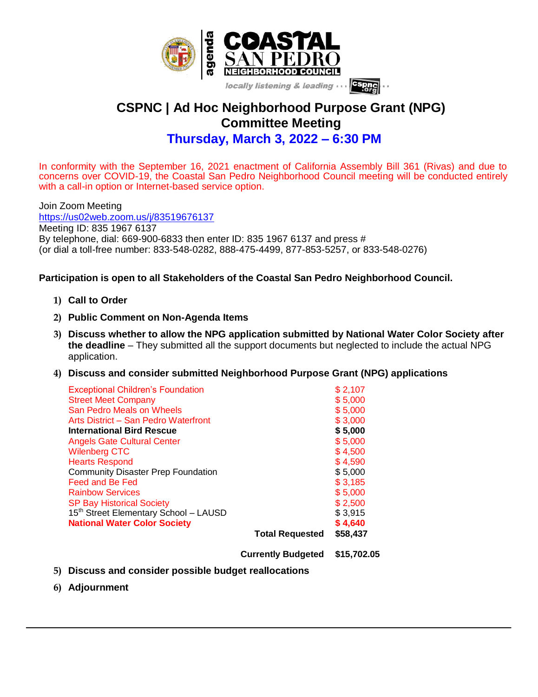

## **CSPNC | Ad Hoc Neighborhood Purpose Grant (NPG) Committee Meeting Thursday, March 3, 2022 – 6:30 PM**

In conformity with the September 16, 2021 enactment of California Assembly Bill 361 (Rivas) and due to concerns over COVID-19, the Coastal San Pedro Neighborhood Council meeting will be conducted entirely with a call-in option or Internet-based service option.

Join Zoom Meeting <https://us02web.zoom.us/j/83519676137> Meeting ID: 835 1967 6137 By telephone, dial: 669-900-6833 then enter ID: 835 1967 6137 and press # (or dial a toll-free number: 833-548-0282, 888-475-4499, 877-853-5257, or 833-548-0276)

## **Participation is open to all Stakeholders of the Coastal San Pedro Neighborhood Council.**

- **1) Call to Order**
- **2) Public Comment on Non-Agenda Items**
- **3) Discuss whether to allow the NPG application submitted by National Water Color Society after the deadline** – They submitted all the support documents but neglected to include the actual NPG application.
- **4) Discuss and consider submitted Neighborhood Purpose Grant (NPG) applications**

| <b>Exceptional Children's Foundation</b>          |                        | \$2,107  |
|---------------------------------------------------|------------------------|----------|
| <b>Street Meet Company</b>                        |                        | \$5,000  |
| San Pedro Meals on Wheels                         |                        | \$5,000  |
| Arts District - San Pedro Waterfront              |                        | \$3,000  |
| <b>International Bird Rescue</b>                  |                        | \$5,000  |
| <b>Angels Gate Cultural Center</b>                |                        | \$5,000  |
| <b>Wilenberg CTC</b>                              |                        | \$4,500  |
| <b>Hearts Respond</b>                             |                        | \$4,590  |
| <b>Community Disaster Prep Foundation</b>         |                        | \$5,000  |
| Feed and Be Fed                                   |                        | \$3,185  |
| <b>Rainbow Services</b>                           |                        | \$5,000  |
| <b>SP Bay Historical Society</b>                  |                        | \$2,500  |
| 15 <sup>th</sup> Street Elementary School - LAUSD |                        | \$3,915  |
| <b>National Water Color Society</b>               |                        | \$4,640  |
|                                                   | <b>Total Requested</b> | \$58,437 |
|                                                   |                        |          |

**Currently Budgeted \$15,702.05**

- **5) Discuss and consider possible budget reallocations**
- **6) Adjournment**